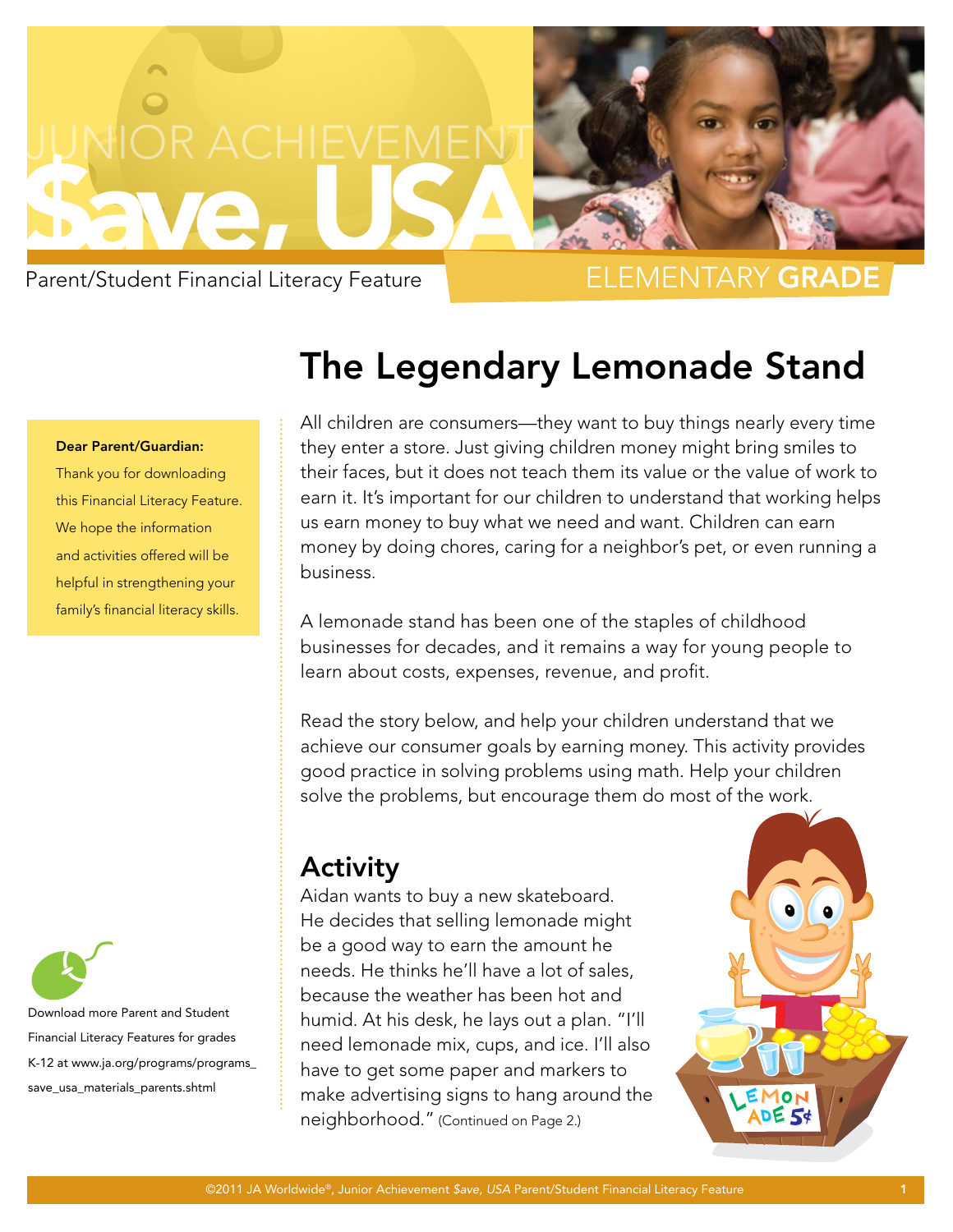

Parent/Student Financial Literacy Feature

## Elementary Grade

#### Dear Parent/Guardian:

Thank you for downloading this Financial Literacy Feature. We hope the information and activities offered will be helpful in strengthening your family's financial literacy skills.



Financial Literacy Features for grades K-12 at www.ja.org/programs/programs\_ save\_usa\_materials\_parents.shtml

# The Legendary Lemonade Stand

All children are consumers—they want to buy things nearly every time they enter a store. Just giving children money might bring smiles to their faces, but it does not teach them its value or the value of work to earn it. It's important for our children to understand that working helps us earn money to buy what we need and want. Children can earn money by doing chores, caring for a neighbor's pet, or even running a business.

A lemonade stand has been one of the staples of childhood businesses for decades, and it remains a way for young people to learn about costs, expenses, revenue, and profit.

Read the story below, and help your children understand that we achieve our consumer goals by earning money. This activity provides good practice in solving problems using math. Help your children solve the problems, but encourage them do most of the work.

## Activity

Aidan wants to buy a new skateboard. He decides that selling lemonade might be a good way to earn the amount he needs. He thinks he'll have a lot of sales, because the weather has been hot and humid. At his desk, he lays out a plan. "I'll need lemonade mix, cups, and ice. I'll also have to get some paper and markers to make advertising signs to hang around the neighborhood." (Continued on Page 2.)